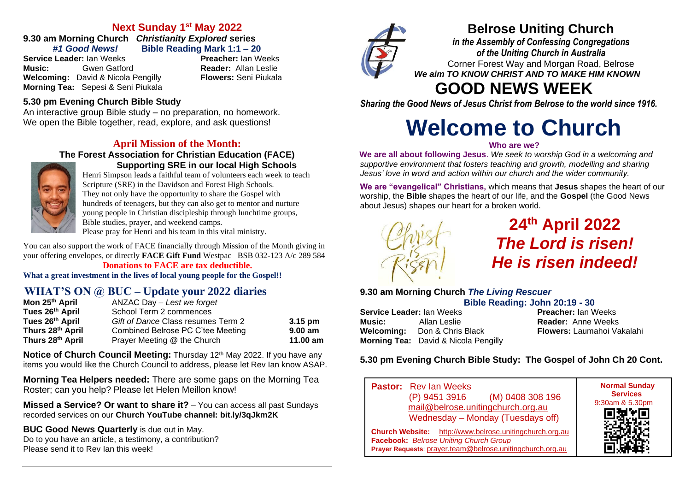# **Next Sunday 1 st May 2022**

**9.30 am Morning Church** *Christianity Explored* **series**

**Service Leader:** Ian Weeks **Music:** Gwen Gatford **Reader:** Allan Leslie **Welcoming:** David & Nicola Pengilly **Flowers:** Seni Piukala **Morning Tea:** Sepesi & Seni Piukala

*#1 Good News!* **Bible Reading Mark 1:1 – 20**

## **5.30 pm Evening Church Bible Study**

An interactive group Bible study – no preparation, no homework. We open the Bible together, read, explore, and ask questions!

## **April Mission of the Month:**

#### **The Forest Association for Christian Education (FACE) Supporting SRE in our local High Schools**



Henri Simpson leads a faithful team of volunteers each week to teach Scripture (SRE) in the Davidson and Forest High Schools. They not only have the opportunity to share the Gospel with hundreds of teenagers, but they can also get to mentor and nurture young people in Christian discipleship through lunchtime groups, Bible studies, prayer, and weekend camps.

Please pray for Henri and his team in this vital ministry.

You can also support the work of FACE financially through Mission of the Month giving in your offering envelopes, or directly **FACE Gift Fund** Westpac BSB 032-123 A/c 289 584

#### **Donations to FACE are tax deductible. What a great investment in the lives of local young people for the Gospel!!**

# **WHAT'S ON @ BUC – Update your 2022 diaries**

| Mon 25 <sup>th</sup> April | ANZAC Day - Lest we forget         |           |
|----------------------------|------------------------------------|-----------|
| Tues 26th April            | School Term 2 commences            |           |
| Tues 26th April            | Gift of Dance Class resumes Term 2 | $3.15$ pm |
| Thurs 28th April           | Combined Belrose PC C'tee Meeting  | $9.00$ am |
| Thurs 28th April           | Prayer Meeting @ the Church        | 11.00 am  |

**Notice of Church Council Meeting:** Thursday 12<sup>th</sup> May 2022. If you have any items you would like the Church Council to address, please let Rev Ian know ASAP.

**Morning Tea Helpers needed:** There are some gaps on the Morning Tea Roster; can you help? Please let Helen Meillon know!

**Missed a Service? Or want to share it?** – You can access all past Sundays recorded services on our **Church YouTube channel: bit.ly/3qJkm2K**

**BUC Good News Quarterly** is due out in May. Do to you have an article, a testimony, a contribution? Please send it to Rev Ian this week!



# **Belrose Uniting Church**

*in the Assembly of Confessing Congregations of the Uniting Church in Australia* Corner Forest Way and Morgan Road, Belrose *We aim TO KNOW CHRIST AND TO MAKE HIM KNOWN*

# **GOOD NEWS WEEK**

*Sharing the Good News of Jesus Christ from Belrose to the world since 1916.*

# **Welcome to Church**

#### **Who are we?**

**We are all about following Jesus**. *We seek to worship God in a welcoming and supportive environment that fosters teaching and growth, modelling and sharing Jesus' love in word and action within our church and the wider community.*

**We are "evangelical" Christians,** which means that **Jesus** shapes the heart of our worship, the **Bible** shapes the heart of our life, and the **Gospel** (the Good News about Jesus) shapes our heart for a broken world.



**24th April 2022** *The Lord is risen! He is risen indeed!*

## **9.30 am Morning Church** *The Living Rescuer*

**Bible Reading: John 20:19 - 30**

**Service Leader:** Ian Weeks **Preacher:** Ian Weeks **Music:** Allan Leslie **Reader:** Anne Weeks<br> **Welcoming:** Don & Chris Black **Reader:** Flowers: Laumahoi Vakalahi **Welcoming:** Don & Chris Black **Morning Tea:** David & Nicola Pengilly

### **5.30 pm Evening Church Bible Study: The Gospel of John Ch 20 Cont.**

**Pastor:** Rev Ian Weeks (P) 9451 3916 (M) 0408 308 196 [mail@belrose.unitingchurch.org.au](mailto:mail@belrose.unitingchurch.org.au) Wednesday – Monday (Tuesdays off) **Church Website:** [http://www.belrose.unitingchurch.org.au](http://www.belrose.unitingchurch.org.au/) **Facebook:** *Belrose Uniting Church Group* **Prayer Requests**: [prayer.team@belrose.unitingchurch.org.au](mailto:prayer.team@belrose.unitingchurch.org.au)